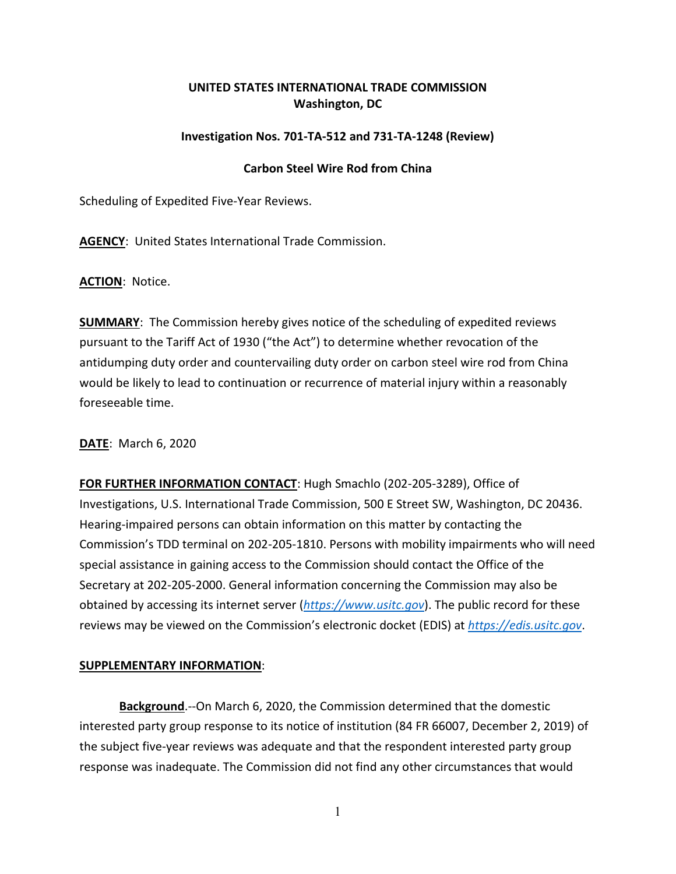## **UNITED STATES INTERNATIONAL TRADE COMMISSION Washington, DC**

## **Investigation Nos. 701-TA-512 and 731-TA-1248 (Review)**

## **Carbon Steel Wire Rod from China**

Scheduling of Expedited Five-Year Reviews.

**AGENCY**: United States International Trade Commission.

**ACTION**: Notice.

**SUMMARY**: The Commission hereby gives notice of the scheduling of expedited reviews pursuant to the Tariff Act of 1930 ("the Act") to determine whether revocation of the antidumping duty order and countervailing duty order on carbon steel wire rod from China would be likely to lead to continuation or recurrence of material injury within a reasonably foreseeable time.

**DATE**: March 6, 2020

**FOR FURTHER INFORMATION CONTACT**: Hugh Smachlo (202-205-3289), Office of Investigations, U.S. International Trade Commission, 500 E Street SW, Washington, DC 20436. Hearing-impaired persons can obtain information on this matter by contacting the Commission's TDD terminal on 202-205-1810. Persons with mobility impairments who will need special assistance in gaining access to the Commission should contact the Office of the Secretary at 202-205-2000. General information concerning the Commission may also be obtained by accessing its internet server (*[https://www.usitc.gov](https://www.usitc.gov/)*). The public record for these reviews may be viewed on the Commission's electronic docket (EDIS) at *[https://edis.usitc.gov](https://edis.usitc.gov/)*.

## **SUPPLEMENTARY INFORMATION**:

**Background**.--On March 6, 2020, the Commission determined that the domestic interested party group response to its notice of institution (84 FR 66007, December 2, 2019) of the subject five-year reviews was adequate and that the respondent interested party group response was inadequate. The Commission did not find any other circumstances that would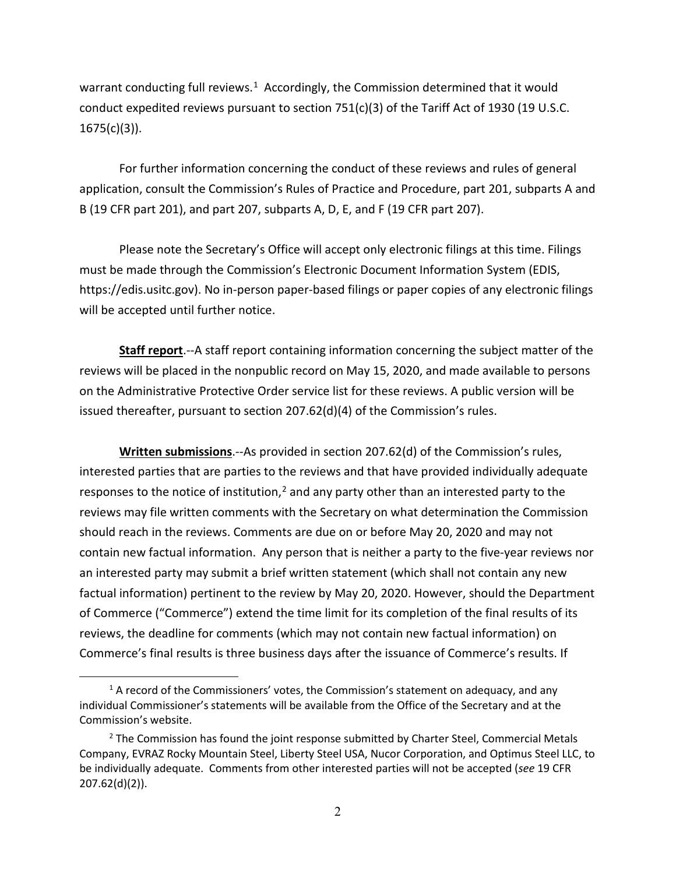warrant conducting full reviews. $1$  Accordingly, the Commission determined that it would conduct expedited reviews pursuant to section 751(c)(3) of the Tariff Act of 1930 (19 U.S.C. 1675(c)(3)).

For further information concerning the conduct of these reviews and rules of general application, consult the Commission's Rules of Practice and Procedure, part 201, subparts A and B (19 CFR part 201), and part 207, subparts A, D, E, and F (19 CFR part 207).

Please note the Secretary's Office will accept only electronic filings at this time. Filings must be made through the Commission's Electronic Document Information System (EDIS, https://edis.usitc.gov). No in-person paper-based filings or paper copies of any electronic filings will be accepted until further notice.

**Staff report**.--A staff report containing information concerning the subject matter of the reviews will be placed in the nonpublic record on May 15, 2020, and made available to persons on the Administrative Protective Order service list for these reviews. A public version will be issued thereafter, pursuant to section 207.62(d)(4) of the Commission's rules.

**Written submissions**.--As provided in section 207.62(d) of the Commission's rules, interested parties that are parties to the reviews and that have provided individually adequate responses to the notice of institution, $<sup>2</sup>$  $<sup>2</sup>$  $<sup>2</sup>$  and any party other than an interested party to the</sup> reviews may file written comments with the Secretary on what determination the Commission should reach in the reviews. Comments are due on or before May 20, 2020 and may not contain new factual information. Any person that is neither a party to the five-year reviews nor an interested party may submit a brief written statement (which shall not contain any new factual information) pertinent to the review by May 20, 2020. However, should the Department of Commerce ("Commerce") extend the time limit for its completion of the final results of its reviews, the deadline for comments (which may not contain new factual information) on Commerce's final results is three business days after the issuance of Commerce's results. If

<span id="page-1-0"></span> $1$  A record of the Commissioners' votes, the Commission's statement on adequacy, and any individual Commissioner's statements will be available from the Office of the Secretary and at the Commission's website.

<span id="page-1-1"></span> $<sup>2</sup>$  The Commission has found the joint response submitted by Charter Steel, Commercial Metals</sup> Company, EVRAZ Rocky Mountain Steel, Liberty Steel USA, Nucor Corporation, and Optimus Steel LLC, to be individually adequate. Comments from other interested parties will not be accepted (*see* 19 CFR 207.62(d)(2)).